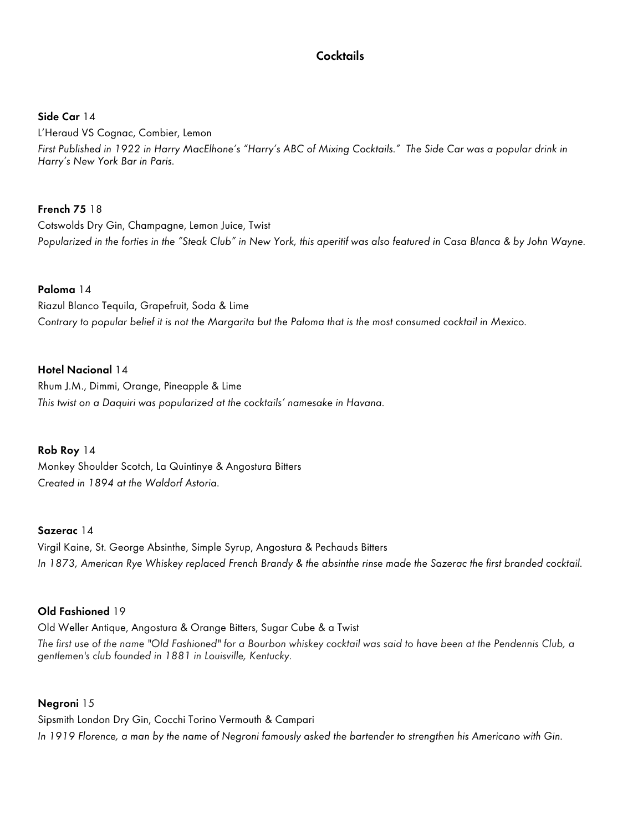# **Cocktails**

**Side Car** 14

L'Heraud VS Cognac, Combier, Lemon First Published in 1922 in Harry MacElhone's "Harry's ABC of Mixing Cocktails." The Side Car was a popular drink in Harry's New York Bar in Paris.

# **French 75** 18

Cotswolds Dry Gin, Champagne, Lemon Juice, Twist Popularized in the forties in the "Steak Club" in New York, this aperitif was also featured in Casa Blanca & by John Wayne.

### **Paloma** 14

Riazul Blanco Tequila, Grapefruit, Soda & Lime Contrary to popular belief it is not the Margarita but the Paloma that is the most consumed cocktail in Mexico.

### **Hotel Nacional** 14

Rhum J.M., Dimmi, Orange, Pineapple & Lime This twist on a Daquiri was popularized at the cocktails' namesake in Havana.

# **Rob Roy** 14

Monkey Shoulder Scotch, La Quintinye & Angostura Bitters Created in 1894 at the Waldorf Astoria.

#### **Sazerac** 14

Virgil Kaine, St. George Absinthe, Simple Syrup, Angostura & Pechauds Bitters In 1873, American Rye Whiskey replaced French Brandy & the absinthe rinse made the Sazerac the first branded cocktail.

# **Old Fashioned** 19

Old Weller Antique, Angostura & Orange Bitters, Sugar Cube & a Twist

The first use of the name "Old Fashioned" for a Bourbon whiskey cocktail was said to have been at the Pendennis Club, a gentlemen's club founded in 1881 in Louisville, Kentucky.

#### **Negroni** 15

Sipsmith London Dry Gin, Cocchi Torino Vermouth & Campari In 1919 Florence, a man by the name of Negroni famously asked the bartender to strengthen his Americano with Gin.